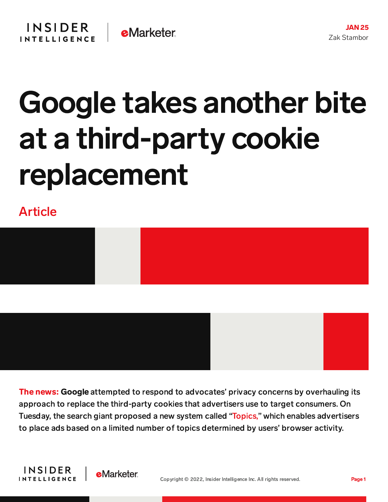

## Google takes another bite at a third-party cookie replacement

Article





The news: Google attempted to respond to advocates' privacy concerns by overhauling its approach to replace the third-party cookies that advertisers use to target consumers. On Tuesday, the search giant proposed a new system called ["Topics,"](https://blog.google/products/chrome/get-know-new-topics-api-privacy-sandbox/) which enables advertisers to place ads based on a limited number of topics determined by users' browser activity.



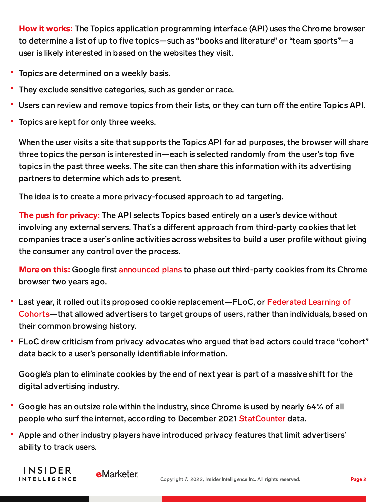How it works: The Topics application programming interface (API) uses the Chrome browser to determine a list of up to five topics—such as "books and literature" or "team sports"—a user is likely interested in based on the websites they visit.

- Topics are determined on a weekly basis.
- They exclude sensitive categories, such as gender or race.
- Users can review and remove topics from their lists, or they can turn off the entire Topics API.
- Topics are kept for only three weeks.

When the user visits a site that supports the Topics API for ad purposes, the browser will share three topics the person is interested in—each is selected randomly from the user's top five topics in the past three weeks. The site can then share this information with its advertising partners to determine which ads to present.

The idea is to create a more privacy-focused approach to ad targeting.

The push for privacy: The API selects Topics based entirely on a user's device without involving any external servers. That's a different approach from third-party cookies that let companies trace a user's online activities across websites to build a user profile without giving the consumer any control over the process.

More on this: Google first [announced](https://blog.chromium.org/2020/01/building-more-private-web-path-towards.html) plans to phase out third-party cookies from its Chrome browser two years ago.

- Last year, it rolled out its proposed cookie [replacement—FLoC,](https://privacysandbox.com/proposals/floc) or Federated Learning of Cohorts—that allowed advertisers to target groups of users, rather than individuals, based on their common browsing history.
- FLoC drew criticism from privacy advocates who argued that bad actors could trace "cohort" data back to a user's personally identifiable information.

Google's plan to eliminate cookies by the end of next year is part of a massive shift for the digital advertising industry.

- Google has an outsize role within the industry, since Chrome is used by nearly 64% of all people who surf the internet, according to December 2021 [StatCounter](https://gs.statcounter.com/browser-market-share) data.
- Apple and other industry players have introduced privacy features that limit advertisers' ability to track users.

**INSIDER** 

INTELLIGENCE